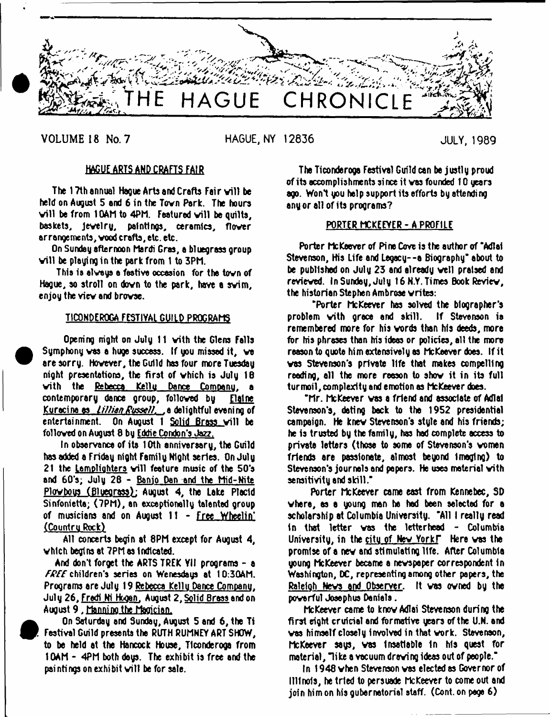

**VOLUME 18 No. 7** HAGUE, NY 12836 JULY, 1989

# HAGUE ARTS AND CRAFTS FAIR

The 17th annual Haque Arts and Crafts Fair will be held on August 5 and 6 in the Tovn Park. The hours vill be from 10AM to 4PM. Featured will be quilts, baskets, Jevelry, paintings, ceramics, flover arrangements, vood crafts, etc. etc.

On Sunday afternoon Mardi Gras, a bluegrass group will be playing in the park from 1 to 3PM.

This is elveys a festive occasion for the tovn of Hague, so stroll on dovn to the park, have a svim, enjoy the viev and brovse.

# TICONDEROGA FESTIVAL GUILD PROGRAMS

Opening night on July 11 vith the Glens Falls Symphony vas a huge success. If you missed it, ve are sorry. Hovever, the Guild has four more Tuesday night presentations, the first of vhich is July 16 vith the Rebecca Kellu Dance Comoanu. a contemporary dance group, folloved by Elaine Kuracina as *Lillian Russell*. ... a delightful evening of entertainment. On August 1 Solid Brass vill be folloved on August 8 by Eddie Condon's Jaz?.

In observance of ite 10th annivereary, the Guild has added a Friday night Family Night series. On July 21 the Lamplighters will feature music of the 50's and 60's; July 28 - Banio Dan and the Mid-Nite Plovbous (Blueorass): August 4, the Lake Placid Sinfoniette; (7PM), an exceptionally talented group of musicians and on August 11 - Free Wheelin' (Countru Rock)

All concerts begin at 8PM except for August 4, vhich begins at 7PM as Indicated.

And don't forget the ARTS TREK Yll programs - a FREE children's series on Wenesdays at 10:30AM. Programs are July 19 Rebecca Kcllu Dance Company. Julu 26. Fredi Ki Hooen. August 2. Solid Brass and on August 9 , Manning the Magician.



<sup>•</sup>

 On Saturday and Sunday, August 5 and 6, the Ti Festival Guild presents the RUTH RUMNEY ART SHOW, to be held at the Hancock House, Tlconderoga from 10AM - 4PM both days. The exhibit is free and the paintings on exhibit will be for sale.

The Ticonderooa Festival Guild can be j ustl y proud of its accomplishments since it vas founded 10 years ago. Won't you help support its efforts by attending any or all of its programs?

# PORTER MCKEEYER - A PROFILE

Porter McKeeverof Pine Cove is the author of'Adlai Stevenson, His Life and Legacy--a Biography' about to be published on July 23 and already veil praised and revieved. In Sunday, July 16 N.Y. Times Book Reviev, the historian Stephen Ambrose vrites:

'Porter McKeever has solved the biographer's problem vith grace end skill. If Stevenson is remembered more for his vords than his deeds, more for his phrases than his ideas or policies, all the more reason to quote him extensively as McKeever does. If it vas Stevenson's private life that makes compelling reading, ell the more reason to shov it in its full turmoil,complexity end emotion as McKeever does.

\*Mr. McKeever vas a friend and associate of Adlai Stevenson's, dating back to the 1952 presidential campaign. He knev Stevenson's style and his friends; he is trusted by the family, has had complete access to private letters (those to some of Stevenson's vomsn friends are passionate, almost beyond Imaging) to Stevenson's jour neb and papers. He usea materiel vith sensitivity and skill.\*

Porter McKeever came east from Kennebec, SD vhere, as a young man ha had been selected for a scholarship at Columbia University. \*A111 really read in that letter vas the letterhead - Columbia University, in the city of New YorkF Here was the promise of a nev and stimulating life. After Columbia young McKeever became a nevspaper correspondent 1n Washington, DC, representing among other papers, the Raleloh Ncvs and Observer. It vas ovned by the poverful Josephus Denials.

McKeever came to knov Adlai Stevenson during the first eight cruicial and formative years of the U.N. and vas himself closely Involved in that vork. Stevenson, McKeever says, vas Insatiable In his quest for material, "like a vacuum drewing ideas out of people."  $\,$ 

In 1948 vhen Stevenson vas elected as Governor of Illinois, he tried to persuade McKeever to come out and join him on his gubernatorial staff. (Cont. on page 6)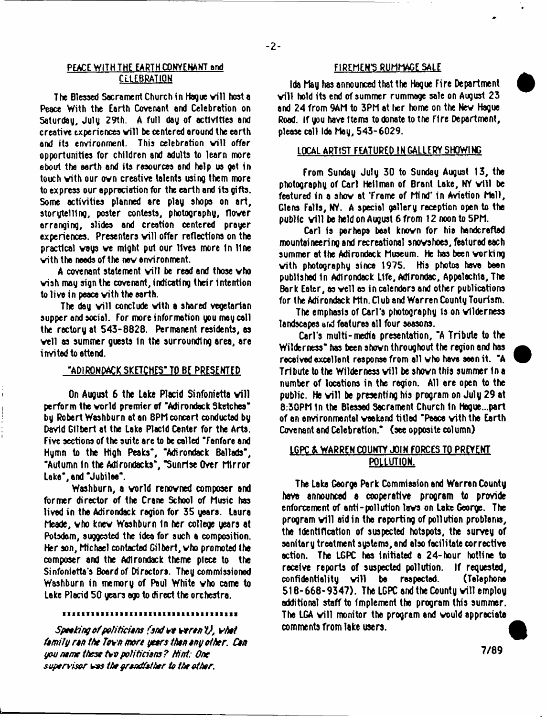# PEACE WITH THE EARTH CONVENANT and CELEBRATION

The Blessed Sacrament Church in Hague will host a Peace With the Earth Covenant and Celebration on Saturday, July 29th. A full day of activities and creative experiences will be centered around the earth and its environment. This celebration will offer opportunities for children and adults to learn more about the earth and its resources and help us get in touch with our own creative talents using them more to express our appreciation for the earth and its gifts. Some activities planned are play shops on art, storytelling, poster contests, photography, flover arranging, slides and creation centered prayer experiences. Presenters will offer reflections on the practical vays ve might put our lives more In Hne vith the needs of the nev environment.

A covenant statement will be read and those who vish may sign the covenant, indicating their intention to live in peace vith the earth.

The day will conclude with a shared vegetarian supper and social. For more information you may call the rectory at 543-8828. Permanent residents, as veil as summer guests in the surrounding area, are invited to attend.

# "ADIRONDACK SKETCHES" TO BE PRESENTED

On August 6 the Lake Placid Sinfonietta will perform the vorld premier of "Adirondack Sketches" by Robert Washburn at an 8PM concert conducted by David Gilbert at the Lake Placid Center for the Arts. Five sections of the suite are to be called "Fanfare and Hymn to the High Peaks", "Adirondack Ballads", "Autumn In the Adlrondacks", "Sunrise Over Mirror Lake", and "Jubilee".

Washburn, a vorld renovned composer and former director of the Crane School of Music has lived in the Adirondack region for 35 years. Laura Meade, vho knev Washburn In her college years at Potsdam, suggested the idea for such a composition. Her son, Michael contacted Gilbert, vho promoted the composer and the Adirondack theme piece to the Sinfonietta's Board of Directors. They commissioned Washburn in memory of Paul White vho came to Lake Placid 50 years ago to direct the orchestra.

#### ,,,,,,,,,,,,,,,,,,,,,,,,,,,,,,,,,,,,,

*Speeting ofpolitidons (end veren V, vhet Umily ron the Tovn mert yeers then eny other. Cm you no me these t+v politicise ? Hint: One supervisor* t s *s the yrondfother to the other.*

# FIREMENS RUMMAGE SALE

Ida May has announced that the Hague Fire Department will hold its end of summer rummage sale on August  $23$ and 24 from 9AM to 3PM at her home on the Nev Hague Road. If you have Items to donate to the Fire Department, please call Ida May, 543-6029.

# LOCAL ARTIST FEATURED IN GALLERY SHOWING

From Sunday July 30 to Sunday August 13, the photography of Carl Heilman of Brant Lake, NY will be featured in a shov at 'Frame of Mind\* in Aviation Mall, Glens Falls, NY. A special gallery reception open to the public will be held on August 6 from 12 noon to 5PM.

Carl is perhaps best knovn for his handcrafted mountaineering and recreational snovshoes, featured each summer at the Adirondack Museum. He has been vorking vith photography since 1975. His photos have been published In Adirondack Life, Adtrondac, Appalachia, The Bark Eater, as veil as in calendars and other publications for the Adirondack Mtn. Club and Warren County Tourism.

The emphasis of Carl's photography Is on vlldernesa landscapes and features all four seasons.

Carl's multi-media presentation, "A Tribute to the Wilderness\* has been shovn throughout the region and has received excellent response from all vho have seen it. "A Tribute to the Wilderness will be shown this summer in a number of locations in the region. All are open to the public. He will be presenting his program on July 29 at 8:30PM In the Blessed Sacrament Church In Hague...part of an environmental vaakend titled "Peace vith the Earth Covenant and Celebration." (see opposite column)

# LGPC & WARREN COUNTY JOIN FORCES TO PREVENT POLLUTION.

The Lake George Park Commission and Warren County have announced a cooperative program to provide enforcement of anti-pollution lavs on Lake George. The program will aid in the reporting of pollution problems, the Identification of suspected hotspots, the survey of sanitary treatment systems, and also facilitate corrective action. The LGPC has initiated a 24-hour hotline to receive reports of suspected pollution. If requested, confidentiality will be respected. (Telephone  $518-668-9347$ ). The LGPC and the County will employ additional staff to implement the program this summer. The LGA will monitor the program and would appreciate comments From lake users.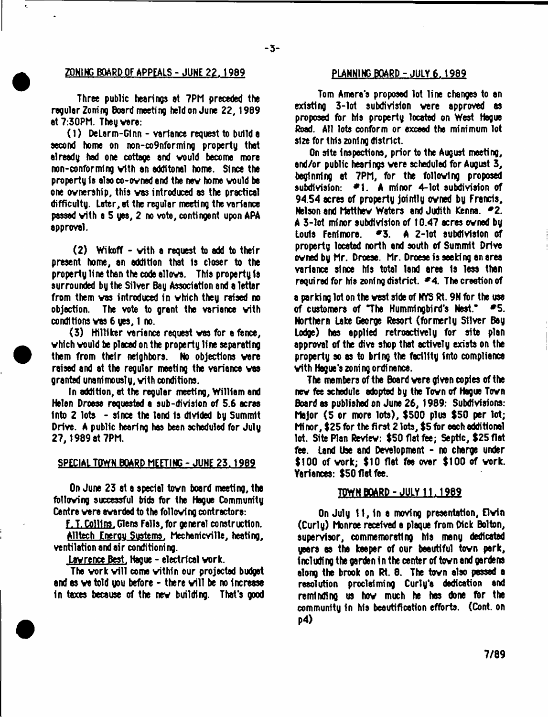# ZONING BOARD OF APPEALS - JUNE 22. 1989 PLANNING BOARD - JULY 6.1989

 $\mathbf{r}_i$ 

**- 3 -**

Three public hearing® et 7PM preceded the regular Zoning Board meeting held on June 22,1969 at 7:30PM. Theg vere:

(1) DeLerm-GInn - variance request to build a second home on non-co9nforming property that already had one cottage and vould become more non-conforming vith an eddltonel home. Since the property la also co-ovned and the nev home vould be one ovnerahip, this vas introduced as the practical difficulty, later, at the regular meeting the variance passed vith a 5 gas, 2 no vote, contingent upon APA approval.

 $(2)$  Wikoff - with a request to add to their present home, an addition that Is closer to the property line than the code allovs. This property is surrounded by the Silver Bay Association and a letter from them vas introduced in vhich they raised no objection. The vote to grant the variance vith conditions vas 6 yes, 1 no.

(3) Hilliker variance request vas for a fence, vhich vould be placed on the property line separating them from their neighbors. No objections vere raised and at the regular meeting the variance vas granted unanimously, vith conditions.

In addition, at the regular meeting, William and Helen Droese requested a sub-division of 5.6 acres into 2 lots - since the land is divided by Summit Drive. A public hearing has been scheduled for July 27, 1989 at 7PM.

#### SPECIAL TOWN BOARD MEETING - JUNE 23.1969

On June 23 at a special tovn board meeting, the folloving successful bids for the Hague Community Centre vere evarded to the folloving contractors:

F.T. Collins. Glens Falls,for general construction.

Alltech Encrou Sustems. Mechanicville, heating, ventilation and air conditioning.

Lawrence Best. Hague - electrical work.

The work will come within our projected budget and as we told you before  $-$  there will be no increase In taxes because of the nev building. That's good

Tom Amera's proposed lot line changes to an existing 3-lot subdivision vere approved as proposed for his property located on West Hague Road. All lots conform or exceed the minimum lot size for this zoning district.

On site inspections, prior to the August meeting, and/or public hearings vere scheduled for August 3, beginning at 7PM, for the folloving proposed subdivision: \*1. A minor 4-1ot subdivision of 94.54 acres of property jointly ovned by Francis, Nelson and Matthew Waters and Judith Kenna. #2. A 3-lot minor subdivision of 10.47 acres ovned by Louis Fenlmore. \*3. A 2-lot subdivision of property located north and south of Summit Drive ovned by Mr. Droese. Mr. Droese is seeking an area variance since his total land area Is less than required for his zoning district. *\*4.* The creation of

a parking lot on the vest side of NYS Rt. 9N for the use of customers of "The Hummingbird's Nest."  $\blacktriangleright$  5. Northern Lake George Resort (formerly Silver Bay Lodge) has applied retroactively for site plan approval of the dive shop that actively exists on the property so as to brinQ the facility into compliance vith Hague's zoning ordinance.

The members of the Board vere given copies of the nev fee schedule adopted by the Tovn of Hague Tovn Board as published on June 26, 1989: Subdivisions: Major (5 or more lots), \$500 plus \$50 per lot; Minor, \$25 for the first 2 lots, \$5 for each additional lot. Site Plan Revlev: \$50 flat fee; Septic, \$25flet fee. Land Use and Development - no charge under \$100 of vork; \$10 flat faa over \$100 of vork. Variances: \$50 flat fee.

#### TOWN BOARD - JULY 11.1989

On July 11, In a moving presentation, Elvin (Curly) Monroe received a plaque from Dick Bolton, supervisor, commemorating Ms meny dedicated years as the keeper of our beautiful tovn park, including the garden in the center of tovn and gerdens along the brook on Rt. 8. The tovn also passed a resolution proclaiming Curly'a dedication and reminding us hov much he has done for the community In Ms beautification efforts. (Cont. on p4)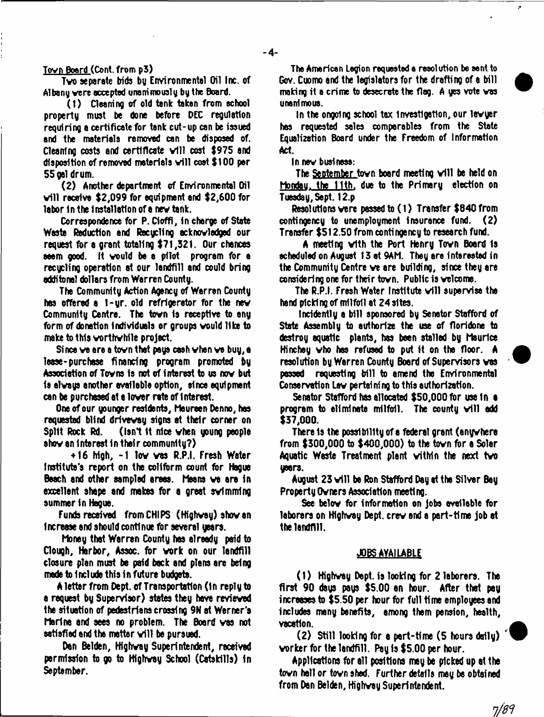# Tovn Board (Cont. from p3)

Tvo separate bids by Environmental Oil Inc. of Albany vere accepted unanimously by the Board.

(1) Cleaning of old tank taken from school property must be done before DEC regulation requiring a certificate for tank cut-up can be issued and the materials removed can be disposed of. Cleaning costs and certificate will cost \$975 and disposition of removed materials will cost \$100 per 55 gal drum.

(2) Another department of Environmental Oil will receive  $$2,099$  for equipment and  $$2,600$  for labor In the Installation of a nev tank.

Correspondence for P. Cloffi, In charge of State Waste Reduction and Recycling acknovledgad our request for a grant totaling \$71,321. Our chances eeem good, it vould be a pilot program for a recycling operation at our landfill and could bring odditonal dollars from Warren County.

The Community Action Agency of Warren County has offered a 1-yr. old refrigerator for the nev Community Centre. The tovn Is receptive to any form of donation Individuals or groups vould like to make to this vorthvhlle project.

Since ve are a tovn that pays cash vhen ve buy, a lease-purchase financing program promoted by Association of Tovns Is not of interest to us nov but Is alvays another available option, since equipment can be purchased at a lover rate of 1 Merest.

One of our younger residents, Maureen Denno, has requested blind drivevay signs at their corner on Split Rock Rd. (Isn't It Mce vhen young people shov an Interest in thatr community?)

+ 16 Mgh, -1 lov vas R.P.I. Fresh Water Institute's report on the colffbrm count for Hague Beach and other sampled areas. Means vs are In excellent shape and makes for a great svlmmlng summer in Hague.

Funds received from CHIPS (Highvey) shov an Increase end should continue for several years.

Money that Warren CouMy has already paid to Clough, Harbor, Assoc, for vork on our landfill closure plan must be paid back and plans are being made to Include this in future budgets.

A letter from Dept, of Transportation (In reply to a request by Supervisor) states they have revieved the situation of pedestrians crossing 9N at Werner's Marina and sees no problem. The Board vas not satisfied and the matter will be pursued.

Dan Belden, Highvay Superintendent, received permission to go to Highvay School (Catskills) In September.

The American Legion requested e resolution be sent to Gov. Cuomo and the legislators for the drafting of a bill making it a crime to desecrate the flag. A yes vote vas unanimous.

 $\overline{z}$ 

In the ongoing school tax Investigation, our lavyer has requested sales comparables from the State Equalization Board under the Freedom of Information Act.

In nev business:

The September town board meeting will be held on Monday, the 11th, due to the Primary election on Tuesday, Sept. 12.p

Resolutions vere passed to (1) Transfer \$640 from contingency to unemployment insurance fund.  $(2)$ Transfer \$512.50 from contingency to research fund.

A meeting vith the Port Henry Tovn Board Is scheduled on August 13 at 9AM. They are Interested in the Community Centre ve are building, since they are considering one for their tovn. Public is velcome.

The R.P.I. Fresh Water Institute will supervise the hand picking of milfoil at 24 sites.

IncideMly a bill sponsored by Senator Stafford of State Assembly to authorize the use of floridone to destroy aquatic plants, has been stalled by Maurice Hinchey vho has refused to put it on the floor. A resolution by Warren CouMy Board of Supervisors vas passed requesting bill to amend the Environmental Conservation Lav pertaining to this authorization.

Senator Stafford has allocated \$50,000 for use In **e** program to eliminate milfoil. The county will add \$37,000.

There is the possibility of a federal grant (anywhere from \$300,000 to \$400,000) to the tovn for a Solar Aquatic Waste Treatment plant vitMn the next tvo years.

August 23 will be Ron Stafford Day at the Silver Bay Property Ovners Association meeting.

See below for information on jobs available for laborers on Highvay Dept, crev and a part-time job at the landfill.

#### JOBS AVAILABLE

(1) Highvay Dapt. is looking for 2 laborers. The first 90 dsys pays \$5.00 an hour. After that pay increases to \$5.50 per hour for full time employees and includes many benefits, among them pension, health, vacation.

(2) Still looking for a part-time (5 hours doily) \* vorker for the landfill. Pay is \$5.00 per hour.

Applications for all positions may be picked up at the tovn hall or tovn shad. Further details may be obtained from Dan Belden, Highvay SuperintendeM.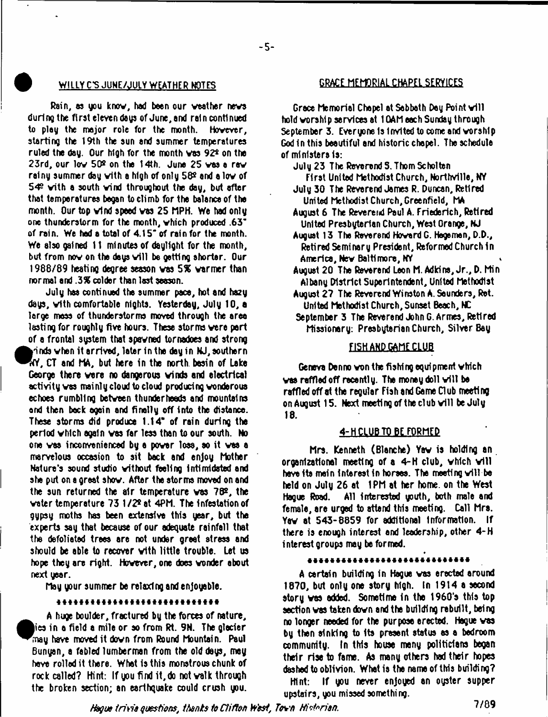# **W ILLY C S JUNE/JULY WEATHER NOTES GRACE MEMORIAL CHAPEL SERY1CI5**

Rain, as you know, had been our weather news during the first eleven days of June, and rain continued to play the major role for the month. However, starting the 19th the sun and summer temperatures ruled the day. Our high for the month vas 92\* on the 23rd, our lov 50® on the 14th. June 25 vas a rev rainy summer day vith a high of only 58® and a lov of 543 vith a south vind throughout the day, but after that temperatures began to climb for the balance of the month. Our top vind speed vas 25 MPH. We had only one thunderstorm for the month, vhich produced .63' of rain. We hod a total of 4.15" of rain for the month. We also gained 11 minutes of daylight for the month, but from now on the days will be getting shorter. Our 1988/89 heating degree season vas *S%* varmer than normal and .3% colder than last season.

July has continued the summer pace, hot and hasy days, vith comfortable nights. Yesterday, July 10, a large mass of thunderstorms moved through the area lasting for roughly five hours. These storms vere pert of a frontal system that spavned tornadoes and strong  $\gamma$ inds when it arrived, later in the day in NJ, southern  $\sqrt[4]{N}$ , CT and MA, but here in the north basin of Lake George there vere no dangerous winds and electrical activity vas mainly cloud to cloud producing vonderous echoes rumbling between thunder heeds and mountains and then beck egein and finally off into the distance. These storms did produce 1.14\* of rain during tha period vhich again vas far less than to our south. No one vaa inconvenienced by a povar loss, so it vas a marvelous occasion to sit beck and enjoy Mother Nature's sound studio vithout feeling Intimidated and she put on a great shov. After the storms moved on and the sun returned the air temperature vas 78s, the vater temperature 73 1 /2\* at 4PM. The infestation of gypsy moths has been extensive this year, but the experts say that because of our adequate rainfall that the defoliated trees ere not under greet stress end should be able to recover vith little trouble. Let us hope they are right. Hovever, one does vonder about next year.

May your summer be relaxing and enjoyable.

#### \*\*\*\*\*\*\*\*\*\*\*\*\*\*\*\*\*\*\*\*\*\*\*\*\*\*\*\*

A huge boulder, fractured by the forces of nature, in a field a mile or so from Rt. 9N. Tha glacier may have moved it dovn from Round Mountain. Paul 6unyan, a fabled lumberman from the old days, may have rolled it there. What is this monstrous chunk of rock called? Hint: If you find it,do not valk through the broken section; an earthquake could crush you.

Grace Memorial Chapel at Sabbath Day Point will hold worship services at 1 GAM each Sunday through September 3. Everyone is Invited to come and worship God In this beautiful and historic chapel. The schedule of ministers Is:

July 23 The Reverend S. Thom Scholten

 $-5-$ 

First United Methodist Church, Northvllle, NY July 30 The Reverend James R. Duncan, Retired United Methodist Church, Greenfield, MA

August 6 The Reverend Peul A. Friederlch, Retired United Presbyterian Church, West Orange, NJ

- Auguat 13 The Reverend Howard G. Hegemen, D.D., Retired Seminary President, Reformed Church In America, New Baltimore, NY
- August 20 Tha Reverend Leon M. Adkins, Jr., D. Min Albany District Superintendent, United Methodist
- August 27 The Reverend Winston A. Saunders, Ret. United Methodist Church, Sunset Beach, NC
- September 3. The Reverend John G. Armes, Retired Missionary: Presbyterian Church, Silver Bay

# FISH AND GAME CLUB

Geneva Denno won the fishing equipment which was raffled off recently. The money doll will be raffled off at tha regular Fish and Gama Dub meeting on August 15. Next meeting of the club will be July 18.

# 4-H CLUB TO BE FORMED

Mrs. Kenneth (Blanche) Yav is holding an organizational meeting of a  $4-H$  club, which will have its main interest in horses. The meeting will be held on July 26 et 1PM at her home, on tha West Hague Road. All interested youth, both male and female, are urged to attend this meeting. Call Mrs. Yav at 543-8859 for additional Information. If there is enough interest and leadership, other 4-H interest groups may be formed.

#### \*\*\*\*\*\*\*\*\*\*\*\*\*\*\*\*\*\*\*\*\*\*\*\*\*\*\*\*\*

A certain building in Hague vas erected around 1870, but only one story high. In 1914 a second story vas added. Sometime In the 1960's this top section vas taken dovn and the bulldfnQ rebuilt, being no longer needed for tha purpose erected. Hague vas by than sinking to Its present status as a bedroom community. In this house many politicians began their rise to fame. As many others had their hopes dashed to oblivion. What ia tha name of this building?

Hint: If you never enjoyed an oyster supper upstairs, you missed something.

*Hague trivia questions, 1 tents to Clifton West, T&\*'n Hi&rian.* 7/89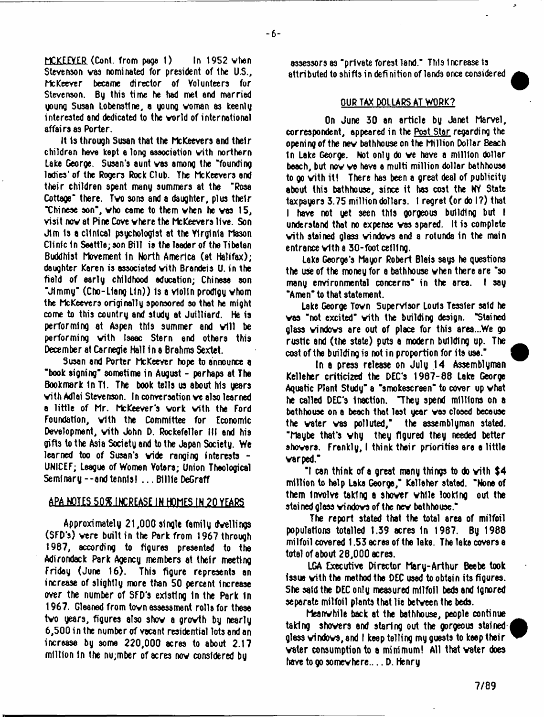MCKEEVER (Cont. from page 1) In 1952 vhen Stevenson vas nominated for president of the U.S., McKeever became director of Volunteers for Stevenson. By this time he had met and married goung Susan Lo bens tine, a young voman as Keenlg interested and dedicated to the vorld of international affairs as Porter.

It Is through Susan that the McKeevers and their children have kept e long associetion vith northern Lake George. Susan's aunt vas among the 'founding ladies' of the Rogers Rock Club. The McKeevers and their children spent many summers at tha "Rosa Cottage" there. Tvo sons and a daughter, plus their "Chinese son", vho came to them vhen he vas 15, visit nov at Pine Cove vhere the McKeevers live. Son Jim Is a clinical psychologist at the Virginia Mason Clinic In Seattle; son Bill ia the leader of the Tibetan Buddhist Movement in North America (at Halifax); daughter Karen is associated vith Brandeis U. in the field of early childhood education; Chinese son "Jimmy\* (Cho-Llang Lin)) Is a violin prodigy vhom the McKeevers originally sponsored so that he might come to this country and study at Juilliard. He is performing at Aspen this summer and will be performing vith Isaac Stern end others this December at Carnegie Hall in a Brahms Sextet.

Susan and Porter McKeever hope to announce a "book aigning" sometime in August - perhaps at The Bookmark In T1. The book tells us about his years vith Adlai Stevenson. In conversation ve also learned a little of Mr. McKeever's vork vith the Ford Foundation, vith the Committee for Economic Development, vith John D. Rockefeller III and his gifts to the Asia Society and to the Japan Society. We learned too of Susan's vide ranging interests - UNICEF; League of Women Voters; Union Theological Seminary--andtennis! ...B illie DeGraff

# APA\_NQIiS 50\* INCREASE IN HOMES IN 20 YEARS

Approximately 21,000 single family dwellings (SFD's) vere built in the Park from 1967 through 1987, according to figures presented to the Adirondack Park Agency members at their meeting Friday (June 16). This figure represents an increase of slightly more than 50 percent increase over the number of SFD's existing In the Park In 1967. Gleaned from tovn assessment rolls for these tvo years, figures also shov a grovth by nearly 6,500 in the number of vacant residential lots end an increase by some 220,000 ecres to about 2.17 million In the nu;mber of acres nov considered by

assessors as "private forest land." This Increase is attributed to shifts in defi nition of lends once considered

# OUR TAX DOLLARS AT WORK?

On June 30 an article by Janet Marvel, correspondent, appeared in the Post Star regarding the opening of the nev bathhouse on the Million Dollar Beach 1n Lake George. Not only do ve have a million dollar beach, but nov ve have a multi million dollar bathhouse to go vith it! There has been a great deal of publicity about this bathhouse, since it has cost the NY State taxpayers 3.75 million dollars. I regret (or do I?) that I have not yet seen this gorgeous building but I understand that no expense vas spared. It Is complete vith stained glass windows and a rotunds in the main entrance vith a 30-foot celling.

Lake George's Mayor Robert Blais says he questions the use of the money for a bathhouse vhen there are "so many environmental concerns" in the area. I say "Amen" to that statement.

Lake George Tovn Supervisor Louis Tessler said he vas "not excited" vith the building design. "Stained glass windows are out of place for this area...We go rustic and (the state) puts a modern building up. The cost of the building is not in proportion for its use."

In a press release on July 14 Assemblyman Kelleher criticized the DEC'S 1987-88 Lake George Aquatic Plant Study" a "smokescreen" to cover up vhat he called DEC'S Inaction. "They spend millions on a bathhouse on a beach that last year vas closed because the vater vas polluted," the assemblyman stated. "Maybe that's why they figured they needed better showers. Frenkly, I think their priorities ere e little varped."

 $^{\circ}$ I can think of a great many things to do with \$4  $\,$ million to help Lake George," Kelleher stated. "None of them involve taking a shower while looking out the stained glass windows of the nev bathhouse."

The report stated that the total area of milfoil populations totalled 1.39 acres in 1987. By 1988 milfoil covered 1.53 acres of the lake. The leke covers a total of about 28,000 acres.

LGA Executive Director Mary-Arthur Beebe took issue vith the method the DEC used to obtain its figures. She said the DEC only measured milfoil beds and Ignored separate milfoil plants that lie betveen the beds.

Meanwhile back at the bathhouse, people continue taking shovers and staring out the gorgeous stained glass windows, and I keep telling my guests to keep their vater consumption to a minimum! All that vater does haye to go somewhere.... D. Henry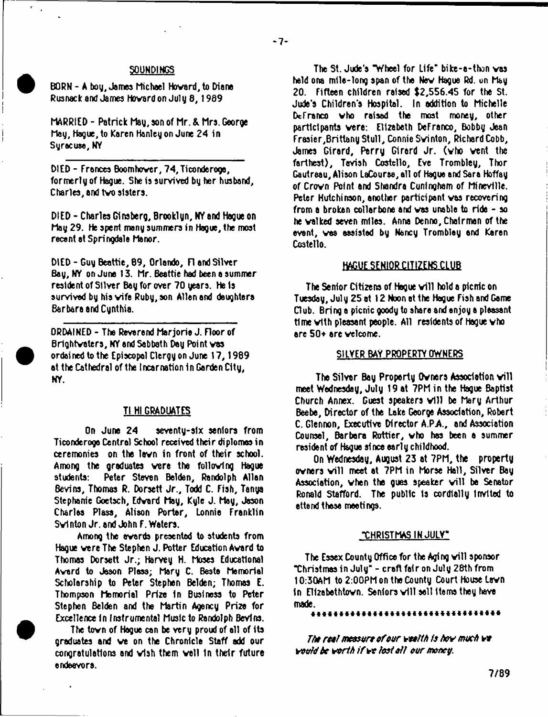### SOUNDINGS

BORN - A boy, James Michael Hovard, to Diane Rusnack and James Hovard on July 8,1989

MARRIED - Patrick May, son of Mr. & Mrs. George May, Hague, to Karen Hanley on June 24 in Syracuse, NY

DIED - Frances Boom hover, 74,Ticonderoga, formerly of Hague. She is survived by her husband, Charles, and tvo sisters.

DIED - Charles Ginsberg, Brooklyn, NY and Hague on May 29. He spent many summers in Hague, the most recant at Springdale Manor.

DIED - Guy Beattie, 89, Orlando, FI and Silver Bay, NY on June 13. Mr. Beattie had been a summer resident of Stiver Bay for over 70 years. He is survived by his vife Ruby, son Allen and daughters Barbara and Cynthia.

ORDAINED - The Reverend Marjorie J. Floor of Brightvaters, NY and Sabbath Day Point vas ordained to the Episcopal Clergy on June 17,1989 at the Cathedral of the Incarnation in Garden City, NY.

# Tl HI GRADUATES

On June 24 seventy-six seniors from Ticonderoga Central School received their diplomas in ceremonies on the lavn in front of their school. Among the graduates vere the folloving Hague students: Peter Steven Balden, Randolph Allan Bevins, Thomas R. Dorsett Jr., Todd C. Fish, Tanya Stephanie Goetsch, Edvard May, Kyle J. May, Jason Charles Plass, Alison Porter, Lonnie Franklin Svl nton Jr. and John F. Waters.

Among the avards presented to students from Hague vere The Stephen J. Potter Education Avard to Thomas Dorsett Jr.; Harvey H. Moses Educational Avard to Jason Pleas; Mary C. Bests Memorial Scholarship to Peter Stephen Belden; Thomas E. Thompson Memorial Prize In Business to Peter Stephen Balden and the Martin Agency Prize for Excellence In Instrumental Music to Randolph Bevins.

The tovn of Hague can be very proud of all of its graduates and ve on the Chronicle Staff add our congratulations and vlsh them veil in their future endeavors.

The St. Jude's "Wheel for 1116\* bike-a-than vas held ona mile-long span of the Nev Hague Rd. on May 20. Fifteen children raised \$2,556.45 for the St. Jude's Children's Hospital. In addition to Michelle Dcfranco vho raised the most money, other participants vere: Elizabeth DeFranco, Bobby Jean Frasier,Brittany Stull, Connie Svinton, Richard Cobb, James Girard, Parry Girard Jr. (vho vent the farthest), Tavish Costello, Eve Trombley, Thor Gautreau, Alison LaCourse, all of Hague and Sara Hoffay of Crown Point and Shandra Cuningham of Mineville. Peter Hutchinson, another participant vas recovering from a broken collarbone and vas unable to ride - so he valked seven miles. Anna Denno, Chairman of the event, vas assisted by Nancy Trombley and Keren Costello.

# **HAGUE SENIOR CITIZENS CLUB**

The Senior Citizens of Hague will hold a picric on Tuesday, July 25 at 12 Noon at the Hague Fish and Game Dub. Bring a picnic goody to share and enjoy a pleasant time vith pleasant people. All residents of Hague vho are 50+ arc velcome.

### SHYER BAY PROPERTY OWNERS

The Silver Bay Property Owners Association will meet Wednesday, July 19 at 7PM in the Hague Baptist Church Annex. Guest speakers will be Mary Arthur Beebe, Director of the Lake George Association, Robert C. Glennon, Executive Director A.PA, and Association Counsel, Barbara Rottier, vho has been a summer resident of Hague since early childhood.

On Wednesday, August 23 at 7PM, the property owners will meet at 7PM in Morse Hall, Silver Bay Association, when the gues speaker will be Senator Ronald Stafford. The public Is cordially Invited to attend these meetings.

### "CHRISTMAS IN JULY\*

The Essex County Office for the Aging will sponsor "Christmas in July" - craft fair on July 28th from 10:30AM to 2:00PM on the County Court House Lavn In Ellzebethtovn. Seniors v ill sell Items they have made. \*\*\*\*\*\*\*\*\*\*\*\*\*\*\*\*\*\*\*\*\*

The real measure of our wealth is how much we *vovhibc vorih if vt fasi si/ our money.*